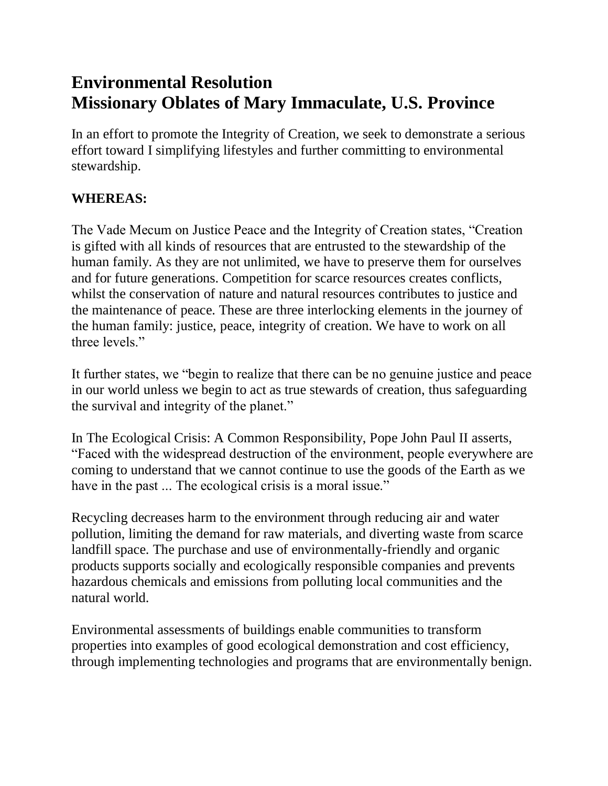## **Environmental Resolution Missionary Oblates of Mary Immaculate, U.S. Province**

In an effort to promote the Integrity of Creation, we seek to demonstrate a serious effort toward I simplifying lifestyles and further committing to environmental stewardship.

## **WHEREAS:**

The Vade Mecum on Justice Peace and the Integrity of Creation states, "Creation is gifted with all kinds of resources that are entrusted to the stewardship of the human family. As they are not unlimited, we have to preserve them for ourselves and for future generations. Competition for scarce resources creates conflicts, whilst the conservation of nature and natural resources contributes to justice and the maintenance of peace. These are three interlocking elements in the journey of the human family: justice, peace, integrity of creation. We have to work on all three levels."

It further states, we "begin to realize that there can be no genuine justice and peace in our world unless we begin to act as true stewards of creation, thus safeguarding the survival and integrity of the planet."

In The Ecological Crisis: A Common Responsibility, Pope John Paul II asserts, "Faced with the widespread destruction of the environment, people everywhere are coming to understand that we cannot continue to use the goods of the Earth as we have in the past ... The ecological crisis is a moral issue."

Recycling decreases harm to the environment through reducing air and water pollution, limiting the demand for raw materials, and diverting waste from scarce landfill space. The purchase and use of environmentally-friendly and organic products supports socially and ecologically responsible companies and prevents hazardous chemicals and emissions from polluting local communities and the natural world.

Environmental assessments of buildings enable communities to transform properties into examples of good ecological demonstration and cost efficiency, through implementing technologies and programs that are environmentally benign.